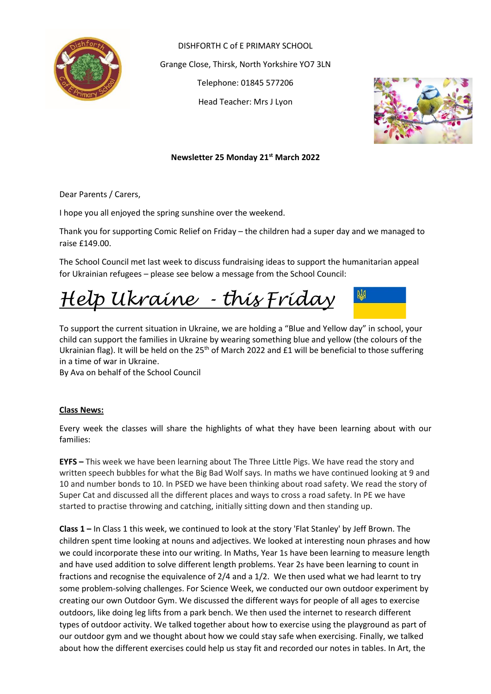

DISHFORTH C of E PRIMARY SCHOOL Grange Close, Thirsk, North Yorkshire YO7 3LN Telephone: 01845 577206 Head Teacher: Mrs J Lyon



**Newsletter 25 Monday 21st March 2022**

Dear Parents / Carers,

I hope you all enjoyed the spring sunshine over the weekend.

Thank you for supporting Comic Relief on Friday – the children had a super day and we managed to raise £149.00.

The School Council met last week to discuss fundraising ideas to support the humanitarian appeal for Ukrainian refugees – please see below a message from the School Council:

*Help Ukraine - this Friday*

To support the current situation in Ukraine, we are holding a "Blue and Yellow day" in school, your child can support the families in Ukraine by wearing something blue and yellow (the colours of the Ukrainian flag). It will be held on the 25<sup>th</sup> of March 2022 and £1 will be beneficial to those suffering in a time of war in Ukraine.

By Ava on behalf of the School Council

## **Class News:**

Every week the classes will share the highlights of what they have been learning about with our families:

**EYFS –** This week we have been learning about The Three Little Pigs. We have read the story and written speech bubbles for what the Big Bad Wolf says. In maths we have continued looking at 9 and 10 and number bonds to 10. In PSED we have been thinking about road safety. We read the story of Super Cat and discussed all the different places and ways to cross a road safety. In PE we have started to practise throwing and catching, initially sitting down and then standing up.

**Class 1 –** In Class 1 this week, we continued to look at the story 'Flat Stanley' by Jeff Brown. The children spent time looking at nouns and adjectives. We looked at interesting noun phrases and how we could incorporate these into our writing. In Maths, Year 1s have been learning to measure length and have used addition to solve different length problems. Year 2s have been learning to count in fractions and recognise the equivalence of 2/4 and a 1/2. We then used what we had learnt to try some problem-solving challenges. For Science Week, we conducted our own outdoor experiment by creating our own Outdoor Gym. We discussed the different ways for people of all ages to exercise outdoors, like doing leg lifts from a park bench. We then used the internet to research different types of outdoor activity. We talked together about how to exercise using the playground as part of our outdoor gym and we thought about how we could stay safe when exercising. Finally, we talked about how the different exercises could help us stay fit and recorded our notes in tables. In Art, the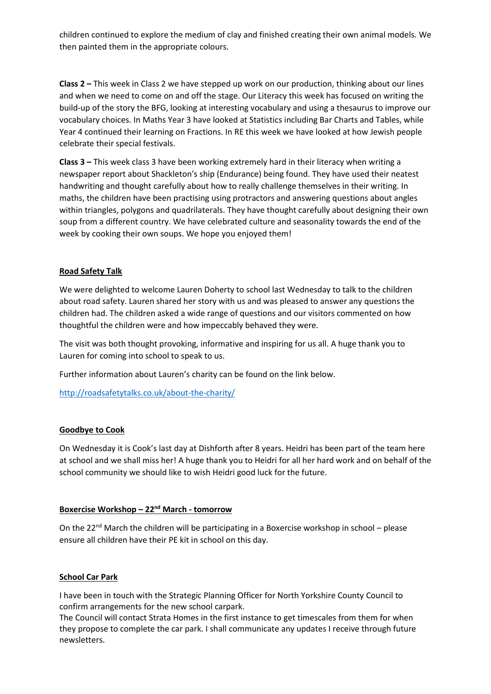children continued to explore the medium of clay and finished creating their own animal models. We then painted them in the appropriate colours.

**Class 2 –** This week in Class 2 we have stepped up work on our production, thinking about our lines and when we need to come on and off the stage. Our Literacy this week has focused on writing the build-up of the story the BFG, looking at interesting vocabulary and using a thesaurus to improve our vocabulary choices. In Maths Year 3 have looked at Statistics including Bar Charts and Tables, while Year 4 continued their learning on Fractions. In RE this week we have looked at how Jewish people celebrate their special festivals.

**Class 3 –** This week class 3 have been working extremely hard in their literacy when writing a newspaper report about Shackleton's ship (Endurance) being found. They have used their neatest handwriting and thought carefully about how to really challenge themselves in their writing. In maths, the children have been practising using protractors and answering questions about angles within triangles, polygons and quadrilaterals. They have thought carefully about designing their own soup from a different country. We have celebrated culture and seasonality towards the end of the week by cooking their own soups. We hope you enjoyed them!

## **Road Safety Talk**

We were delighted to welcome Lauren Doherty to school last Wednesday to talk to the children about road safety. Lauren shared her story with us and was pleased to answer any questions the children had. The children asked a wide range of questions and our visitors commented on how thoughtful the children were and how impeccably behaved they were.

The visit was both thought provoking, informative and inspiring for us all. A huge thank you to Lauren for coming into school to speak to us.

Further information about Lauren's charity can be found on the link below.

<http://roadsafetytalks.co.uk/about-the-charity/>

## **Goodbye to Cook**

On Wednesday it is Cook's last day at Dishforth after 8 years. Heidri has been part of the team here at school and we shall miss her! A huge thank you to Heidri for all her hard work and on behalf of the school community we should like to wish Heidri good luck for the future.

## **Boxercise Workshop – 22 nd March - tomorrow**

On the 22<sup>nd</sup> March the children will be participating in a Boxercise workshop in school - please ensure all children have their PE kit in school on this day.

### **School Car Park**

I have been in touch with the Strategic Planning Officer for North Yorkshire County Council to confirm arrangements for the new school carpark.

The Council will contact Strata Homes in the first instance to get timescales from them for when they propose to complete the car park. I shall communicate any updates I receive through future newsletters.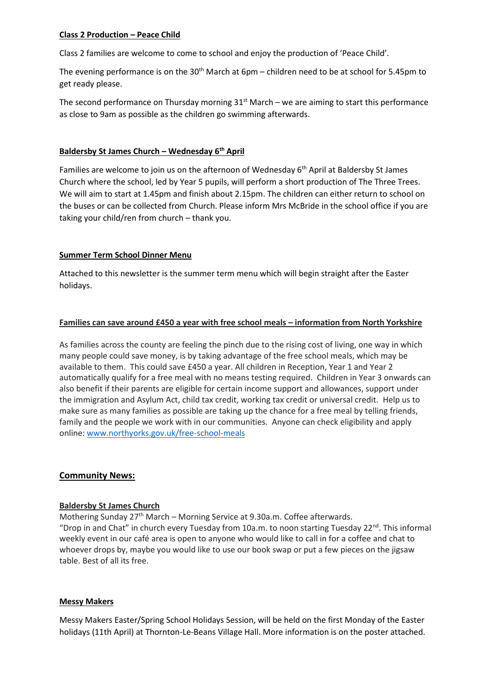## **Class 2 Production – Peace Child**

Class 2 families are welcome to come to school and enjoy the production of 'Peace Child'.

The evening performance is on the  $30<sup>th</sup>$  March at 6pm – children need to be at school for 5.45pm to get ready please.

The second performance on Thursday morning  $31<sup>st</sup>$  March – we are aiming to start this performance as close to 9am as possible as the children go swimming afterwards.

## **Baldersby St James Church – Wednesday 6th April**

Families are welcome to join us on the afternoon of Wednesday  $6<sup>th</sup>$  April at Baldersby St James Church where the school, led by Year 5 pupils, will perform a short production of The Three Trees. We will aim to start at 1.45pm and finish about 2.15pm. The children can either return to school on the buses or can be collected from Church. Please inform Mrs McBride in the school office if you are taking your child/ren from church – thank you.

## **Summer Term School Dinner Menu**

Attached to this newsletter is the summer term menu which will begin straight after the Easter holidays.

## **Families can save around £450 a year with free school meals – information from North Yorkshire**

As families across the county are feeling the pinch due to the rising cost of living, one way in which many people could save money, is by taking advantage of the free school meals, which may be available to them. This could save £450 a year. All children in Reception, Year 1 and Year 2 automatically qualify for a free meal with no means testing required. Children in Year 3 onwards can also benefit if their parents are eligible for certain income support and allowances, support under the immigration and Asylum Act, child tax credit, working tax credit or universal credit. Help us to make sure as many families as possible are taking up the chance for a free meal by telling friends, family and the people we work with in our communities. Anyone can check eligibility and apply online: [www.northyorks.gov.uk/free-school-meals](http://www.northyorks.gov.uk/free-school-meals)

## **Community News:**

## **Baldersby St James Church**

Mothering Sunday  $27<sup>th</sup>$  March – Morning Service at 9.30a.m. Coffee afterwards. "Drop in and Chat" in church every Tuesday from 10a.m. to noon starting Tuesday 22<sup>nd</sup>. This informal weekly event in our café area is open to anyone who would like to call in for a coffee and chat to whoever drops by, maybe you would like to use our book swap or put a few pieces on the jigsaw table. Best of all its free.

### **Messy Makers**

Messy Makers Easter/Spring School Holidays Session, will be held on the first Monday of the Easter holidays (11th April) at Thornton-Le-Beans Village Hall. More information is on the poster attached.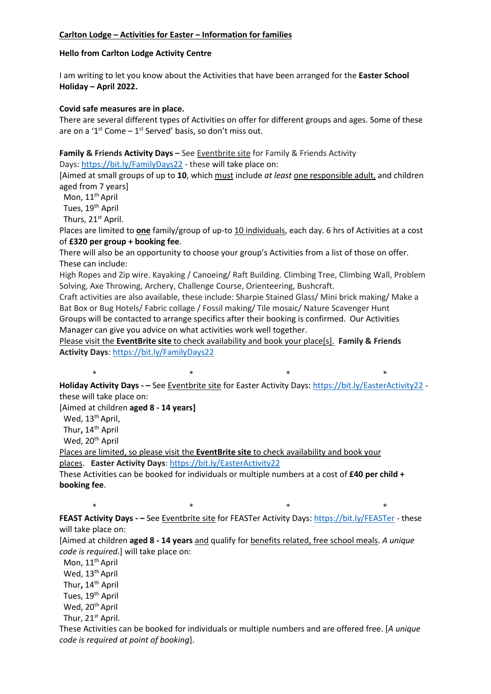## **Hello from Carlton Lodge Activity Centre**

I am writing to let you know about the Activities that have been arranged for the **Easter School Holiday – April 2022.**

### **Covid safe measures are in place.**

There are several different types of Activities on offer for different groups and ages. Some of these are on a ' $1^{st}$  Come  $-1^{st}$  Served' basis, so don't miss out.

**Family & Friends Activity Days –** See Eventbrite site for Family & Friends Activity

Days: <https://bit.ly/FamilyDays22> - these will take place on:

[Aimed at small groups of up to **10**, which must include *at least* one responsible adult, and children aged from 7 years]

Mon, 11<sup>th</sup> April

Tues, 19<sup>th</sup> April

Thurs, 21<sup>st</sup> April.

Places are limited to **one** family/group of up-to 10 individuals, each day. 6 hrs of Activities at a cost of **£320 per group + booking fee**.

There will also be an opportunity to choose your group's Activities from a list of those on offer. These can include:

High Ropes and Zip wire. Kayaking / Canoeing/ Raft Building. Climbing Tree, Climbing Wall, Problem Solving, Axe Throwing, Archery, Challenge Course, Orienteering, Bushcraft.

Craft activities are also available, these include: Sharpie Stained Glass/ Mini brick making/ Make a Bat Box or Bug Hotels/ Fabric collage / Fossil making/ Tile mosaic/ Nature Scavenger Hunt Groups will be contacted to arrange specifics after their booking is confirmed. Our Activities Manager can give you advice on what activities work well together.

Please visit the **EventBrite site** to check availability and book your place[s]. **Family & Friends Activity Days**: <https://bit.ly/FamilyDays22>

 $\begin{array}{ccccccc} * & & & * & & & * & & \end{array}$ **Holiday Activity Days - –** See Eventbrite site for Easter Activity Days: <https://bit.ly/EasterActivity22> these will take place on:

[Aimed at children **aged 8 - 14 years]**

Wed, 13<sup>th</sup> April,

Thur**,** 14th April

Wed, 20<sup>th</sup> April

Places are limited, so please visit the **EventBrite site** to check availability and book your places. **Easter Activity Days**: <https://bit.ly/EasterActivity22>

These Activities can be booked for individuals or multiple numbers at a cost of **£40 per child + booking fee**.

 $\begin{array}{ccccccc} * & & & * & & & * & & \end{array}$ **FEAST Activity Days - –** See Eventbrite site for FEASTer Activity Days: <https://bit.ly/FEASTer> - these will take place on:

[Aimed at children **aged 8 - 14 years** and qualify for benefits related, free school meals. *A unique code is required.*] will take place on:

Mon, 11<sup>th</sup> April Wed, 13<sup>th</sup> April Thur**,** 14th April Tues, 19<sup>th</sup> April Wed, 20<sup>th</sup> April

Thur, 21<sup>st</sup> April.

These Activities can be booked for individuals or multiple numbers and are offered free. [*A unique code is required at point of booking*].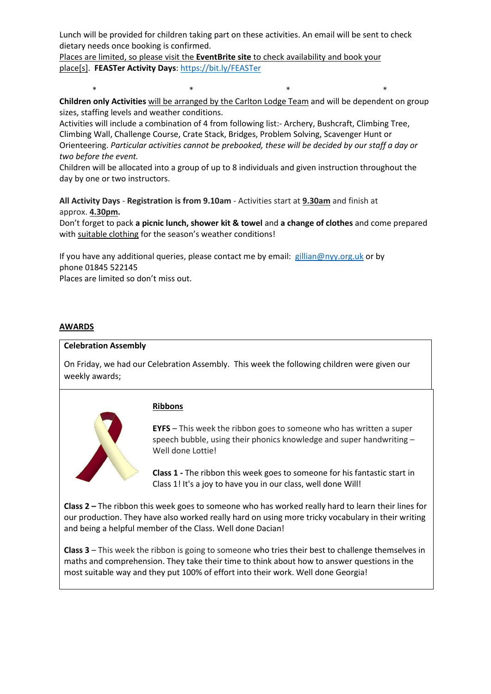Lunch will be provided for children taking part on these activities. An email will be sent to check dietary needs once booking is confirmed.

Places are limited, so please visit the **EventBrite site** to check availability and book your place[s]. **FEASTer Activity Days**: <https://bit.ly/FEASTer>

 \* \* \* \* **Children only Activities** will be arranged by the Carlton Lodge Team and will be dependent on group sizes, staffing levels and weather conditions.

Activities will include a combination of 4 from following list:- Archery, Bushcraft, Climbing Tree, Climbing Wall, Challenge Course, Crate Stack, Bridges, Problem Solving, Scavenger Hunt or Orienteering. *Particular activities cannot be prebooked, these will be decided by our staff a day or two before the event.*

Children will be allocated into a group of up to 8 individuals and given instruction throughout the day by one or two instructors.

**All Activity Days** - **Registration is from 9.10am** - Activities start at **9.30am** and finish at approx. **4.30pm.**

Don't forget to pack **a picnic lunch, shower kit & towel** and **a change of clothes** and come prepared with suitable clothing for the season's weather conditions!

If you have any additional queries, please contact me by email: [gillian@nyy.org.uk](mailto:gillian@nyy.org.uk) or by phone 01845 522145

Places are limited so don't miss out.

### **AWARDS**

### **Celebration Assembly**

On Friday, we had our Celebration Assembly. This week the following children were given our weekly awards;



### **Ribbons**

**EYFS** – This week the ribbon goes to someone who has written a super speech bubble, using their phonics knowledge and super handwriting – Well done Lottie!

**Class 1 -** The ribbon this week goes to someone for his fantastic start in Class 1! It's a joy to have you in our class, well done Will!

**Class 2 –** The ribbon this week goes to someone who has worked really hard to learn their lines for our production. They have also worked really hard on using more tricky vocabulary in their writing and being a helpful member of the Class. Well done Dacian!

**Class 3** – This week the ribbon is going to someone who tries their best to challenge themselves in maths and comprehension. They take their time to think about how to answer questions in the most suitable way and they put 100% of effort into their work. Well done Georgia!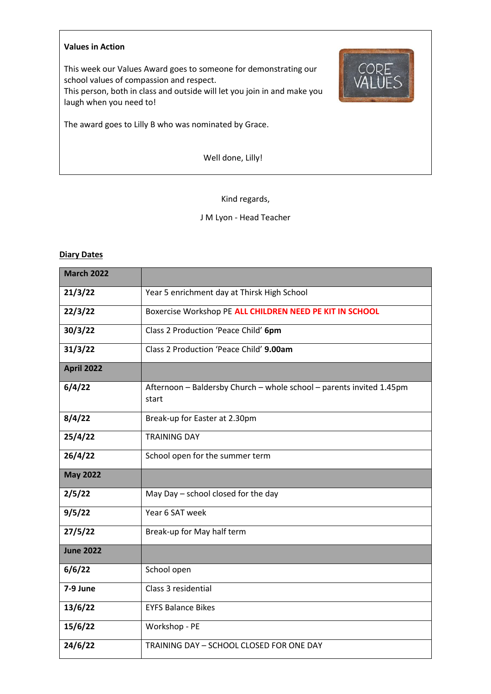#### **Values in Action**

This week our Values Award goes to someone for demonstrating our school values of compassion and respect.

This person, both in class and outside will let you join in and make you laugh when you need to!

The award goes to Lilly B who was nominated by Grace.

Well done, Lilly!

# Kind regards,

## J M Lyon - Head Teacher

## **Diary Dates**

| <b>March 2022</b> |                                                                               |  |  |  |  |  |
|-------------------|-------------------------------------------------------------------------------|--|--|--|--|--|
| 21/3/22           | Year 5 enrichment day at Thirsk High School                                   |  |  |  |  |  |
| 22/3/22           | Boxercise Workshop PE ALL CHILDREN NEED PE KIT IN SCHOOL                      |  |  |  |  |  |
| 30/3/22           | Class 2 Production 'Peace Child' 6pm                                          |  |  |  |  |  |
| 31/3/22           | Class 2 Production 'Peace Child' 9.00am                                       |  |  |  |  |  |
| <b>April 2022</b> |                                                                               |  |  |  |  |  |
| 6/4/22            | Afternoon - Baldersby Church - whole school - parents invited 1.45pm<br>start |  |  |  |  |  |
| 8/4/22            | Break-up for Easter at 2.30pm                                                 |  |  |  |  |  |
| 25/4/22           | <b>TRAINING DAY</b>                                                           |  |  |  |  |  |
| 26/4/22           | School open for the summer term                                               |  |  |  |  |  |
| <b>May 2022</b>   |                                                                               |  |  |  |  |  |
| 2/5/22            | May Day - school closed for the day                                           |  |  |  |  |  |
| 9/5/22            | Year 6 SAT week                                                               |  |  |  |  |  |
| 27/5/22           | Break-up for May half term                                                    |  |  |  |  |  |
| <b>June 2022</b>  |                                                                               |  |  |  |  |  |
| 6/6/22            | School open                                                                   |  |  |  |  |  |
| 7-9 June          | Class 3 residential                                                           |  |  |  |  |  |
| 13/6/22           | <b>EYFS Balance Bikes</b>                                                     |  |  |  |  |  |
| 15/6/22           | Workshop - PE                                                                 |  |  |  |  |  |
| 24/6/22           | TRAINING DAY - SCHOOL CLOSED FOR ONE DAY                                      |  |  |  |  |  |